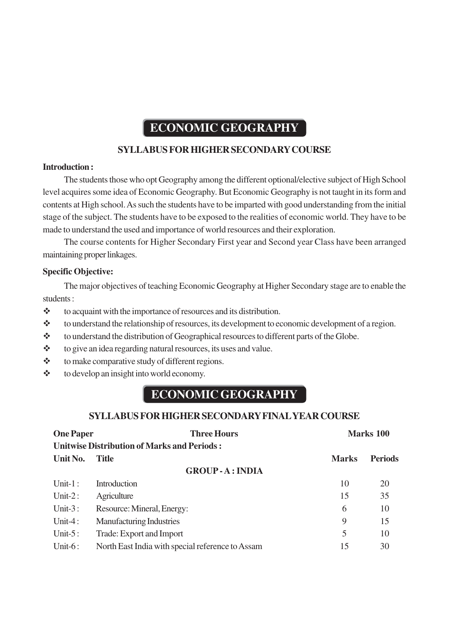# **ECONOMIC GEOGRAPHY**

# **SYLLABUS FOR HIGHER SECONDARY COURSE**

# **Introduction :**

The students those who opt Geography among the different optional/elective subject of High School level acquires some idea of Economic Geography. But Economic Geography is not taught in its form and contents at High school. As such the students have to be imparted with good understanding from the initial stage of the subject. The students have to be exposed to the realities of economic world. They have to be made to understand the used and importance of world resources and their exploration.

The course contents for Higher Secondary First year and Second year Class have been arranged maintaining proper linkages.

# **Specific Objective:**

The major objectives of teaching Economic Geography at Higher Secondary stage are to enable the students :

 $\triangleleft$  to acquaint with the importance of resources and its distribution.

- \* to understand the relationship of resources, its development to economic development of a region.
- \* to understand the distribution of Geographical resources to different parts of the Globe.
- \* to give an idea regarding natural resources, its uses and value.
- $\triangle$  to make comparative study of different regions.
- $\triangleleft$  to develop an insight into world economy.

# **ECONOMIC GEOGRAPHY**

# **SYLLABUS FOR HIGHER SECONDARY FINAL YEAR COURSE**

| <b>One Paper</b>                                   | <b>Three Hours</b>                               | Marks 100    |                |  |
|----------------------------------------------------|--------------------------------------------------|--------------|----------------|--|
| <b>Unitwise Distribution of Marks and Periods:</b> |                                                  |              |                |  |
| Unit No.                                           | <b>Title</b>                                     | <b>Marks</b> | <b>Periods</b> |  |
| <b>GROUP-A: INDIA</b>                              |                                                  |              |                |  |
| Unit- $1:$                                         | Introduction                                     | 10           | 20             |  |
| Unit- $2:$                                         | Agriculture                                      | 15           | 35             |  |
| Unit- $3:$                                         | Resource: Mineral, Energy:                       | 6            | 10             |  |
| Unit-4:                                            | <b>Manufacturing Industries</b>                  | 9            | 15             |  |
| Unit- $5:$                                         | Trade: Export and Import                         | 5            | 10             |  |
| Unit- $6:$                                         | North East India with special reference to Assam | 15           | 30             |  |